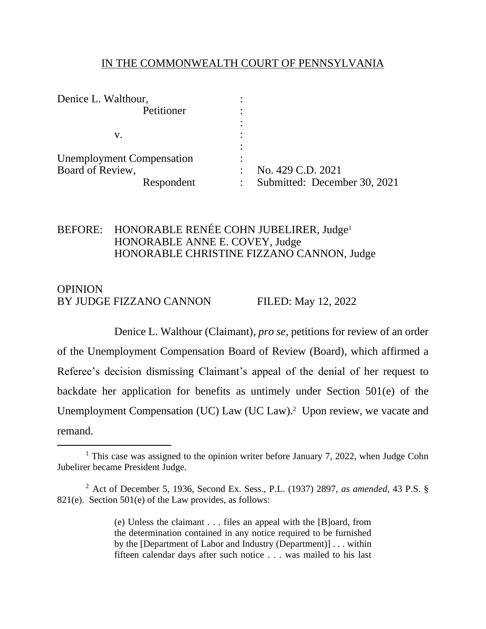#### IN THE COMMONWEALTH COURT OF PENNSYLVANIA

| Denice L. Walthour,              |                              |
|----------------------------------|------------------------------|
| Petitioner                       |                              |
|                                  |                              |
| v.                               |                              |
|                                  |                              |
| <b>Unemployment Compensation</b> | ٠                            |
| Board of Review,                 | No. 429 C.D. 2021            |
| Respondent                       | Submitted: December 30, 2021 |

### BEFORE: HONORABLE RENÉE COHN JUBELIRER, Judge<sup>1</sup> HONORABLE ANNE E. COVEY, Judge HONORABLE CHRISTINE FIZZANO CANNON, Judge

# **OPINION** BY JUDGE FIZZANO CANNON FILED: May 12, 2022

Denice L. Walthour (Claimant), *pro se*, petitions for review of an order of the Unemployment Compensation Board of Review (Board), which affirmed a Referee's decision dismissing Claimant's appeal of the denial of her request to backdate her application for benefits as untimely under Section 501(e) of the Unemployment Compensation (UC) Law (UC Law).<sup>2</sup> Upon review, we vacate and remand.

(e) Unless the claimant . . . files an appeal with the [B]oard, from the determination contained in any notice required to be furnished by the [Department of Labor and Industry (Department)] . . . within fifteen calendar days after such notice . . . was mailed to his last

<sup>&</sup>lt;sup>1</sup> This case was assigned to the opinion writer before January 7, 2022, when Judge Cohn Jubelirer became President Judge.

<sup>2</sup> Act of December 5, 1936, Second Ex. Sess., P.L. (1937) 2897, *as amended*, [43 P.S. §](http://www.westlaw.com/Link/Document/FullText?findType=L&pubNum=1000262&cite=PS43S821&originatingDoc=I8d8ad5a0c4aa11e7bf23e096364180a5&refType=SP&originationContext=document&vr=3.0&rs=cblt1.0&transitionType=DocumentItem&contextData=(sc.Search)#co_pp_7fdd00001ca15)  [821\(e\).](http://www.westlaw.com/Link/Document/FullText?findType=L&pubNum=1000262&cite=PS43S821&originatingDoc=I8d8ad5a0c4aa11e7bf23e096364180a5&refType=SP&originationContext=document&vr=3.0&rs=cblt1.0&transitionType=DocumentItem&contextData=(sc.Search)#co_pp_7fdd00001ca15) Section 501(e) of the Law provides, as follows: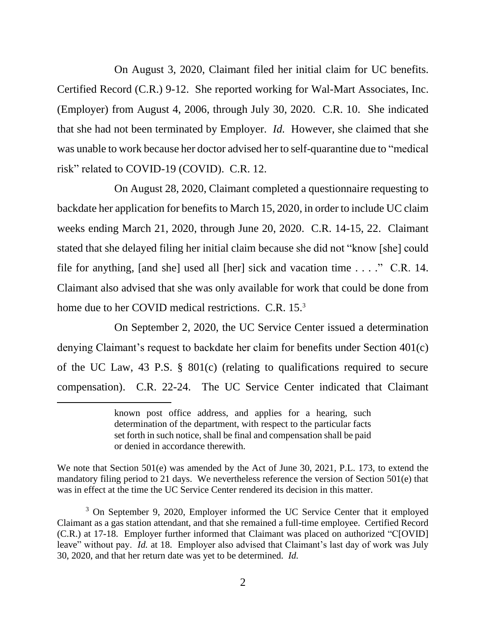On August 3, 2020, Claimant filed her initial claim for UC benefits. Certified Record (C.R.) 9-12. She reported working for Wal-Mart Associates, Inc. (Employer) from August 4, 2006, through July 30, 2020. C.R. 10. She indicated that she had not been terminated by Employer. *Id.* However, she claimed that she was unable to work because her doctor advised her to self-quarantine due to "medical risk" related to COVID-19 (COVID). C.R. 12.

On August 28, 2020, Claimant completed a questionnaire requesting to backdate her application for benefits to March 15, 2020, in order to include UC claim weeks ending March 21, 2020, through June 20, 2020. C.R. 14-15, 22. Claimant stated that she delayed filing her initial claim because she did not "know [she] could file for anything, [and she] used all [her] sick and vacation time . . . ." C.R. 14. Claimant also advised that she was only available for work that could be done from home due to her COVID medical restrictions. C.R. 15.<sup>3</sup>

On September 2, 2020, the UC Service Center issued a determination denying Claimant's request to backdate her claim for benefits under Section 401(c) of the UC Law, 43 P.S. § 801(c) (relating to qualifications required to secure compensation). C.R. 22-24. The UC Service Center indicated that Claimant

We note that Section 501(e) was amended by the Act of June 30, 2021, P.L. 173, to extend the mandatory filing period to 21 days. We nevertheless reference the version of Section 501(e) that was in effect at the time the UC Service Center rendered its decision in this matter.

<sup>3</sup> On September 9, 2020, Employer informed the UC Service Center that it employed Claimant as a gas station attendant, and that she remained a full-time employee. Certified Record (C.R.) at 17-18. Employer further informed that Claimant was placed on authorized "C[OVID] leave" without pay. *Id.* at 18. Employer also advised that Claimant's last day of work was July 30, 2020, and that her return date was yet to be determined. *Id.*

known post office address, and applies for a hearing, such determination of the department, with respect to the particular facts set forth in such notice, shall be final and compensation shall be paid or denied in accordance therewith.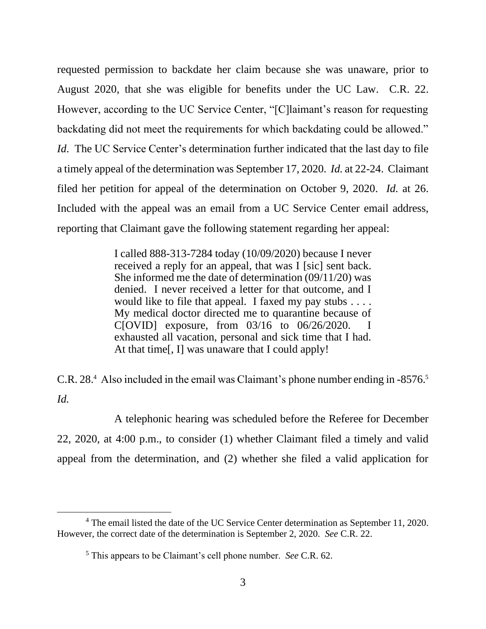requested permission to backdate her claim because she was unaware, prior to August 2020, that she was eligible for benefits under the UC Law. C.R. 22. However, according to the UC Service Center, "[C]laimant's reason for requesting backdating did not meet the requirements for which backdating could be allowed." *Id.* The UC Service Center's determination further indicated that the last day to file a timely appeal of the determination was September 17, 2020. *Id.* at 22-24. Claimant filed her petition for appeal of the determination on October 9, 2020. *Id.* at 26. Included with the appeal was an email from a UC Service Center email address, reporting that Claimant gave the following statement regarding her appeal:

> I called 888-313-7284 today (10/09/2020) because I never received a reply for an appeal, that was I [sic] sent back. She informed me the date of determination (09/11/20) was denied. I never received a letter for that outcome, and I would like to file that appeal. I faxed my pay stubs  $\dots$ . My medical doctor directed me to quarantine because of C[OVID] exposure, from 03/16 to 06/26/2020. I exhausted all vacation, personal and sick time that I had. At that time[, I] was unaware that I could apply!

C.R. 28.<sup>4</sup> Also included in the email was Claimant's phone number ending in -8576.<sup>5</sup> *Id.*

A telephonic hearing was scheduled before the Referee for December 22, 2020, at 4:00 p.m., to consider (1) whether Claimant filed a timely and valid appeal from the determination, and (2) whether she filed a valid application for

<sup>&</sup>lt;sup>4</sup> The email listed the date of the UC Service Center determination as September 11, 2020. However, the correct date of the determination is September 2, 2020. *See* C.R. 22.

<sup>5</sup> This appears to be Claimant's cell phone number. *See* C.R. 62.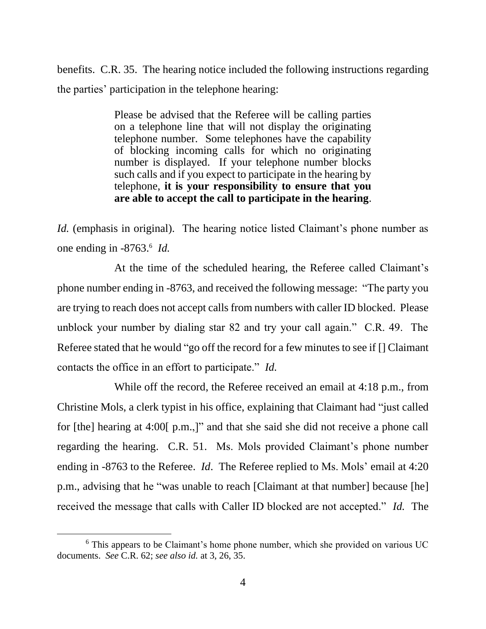benefits. C.R. 35. The hearing notice included the following instructions regarding the parties' participation in the telephone hearing:

> Please be advised that the Referee will be calling parties on a telephone line that will not display the originating telephone number. Some telephones have the capability of blocking incoming calls for which no originating number is displayed. If your telephone number blocks such calls and if you expect to participate in the hearing by telephone, **it is your responsibility to ensure that you are able to accept the call to participate in the hearing**.

*Id.* (emphasis in original). The hearing notice listed Claimant's phone number as one ending in -8763.<sup>6</sup> Id.

At the time of the scheduled hearing, the Referee called Claimant's phone number ending in -8763, and received the following message: "The party you are trying to reach does not accept calls from numbers with caller ID blocked. Please unblock your number by dialing star 82 and try your call again." C.R. 49. The Referee stated that he would "go off the record for a few minutes to see if [] Claimant contacts the office in an effort to participate." *Id.* 

While off the record, the Referee received an email at 4:18 p.m., from Christine Mols, a clerk typist in his office, explaining that Claimant had "just called for [the] hearing at 4:00[ p.m.,]" and that she said she did not receive a phone call regarding the hearing. C.R. 51. Ms. Mols provided Claimant's phone number ending in -8763 to the Referee. *Id*. The Referee replied to Ms. Mols' email at 4:20 p.m., advising that he "was unable to reach [Claimant at that number] because [he] received the message that calls with Caller ID blocked are not accepted." *Id.* The

<sup>&</sup>lt;sup>6</sup> This appears to be Claimant's home phone number, which she provided on various UC documents. *See* C.R. 62; *see also id.* at 3, 26, 35.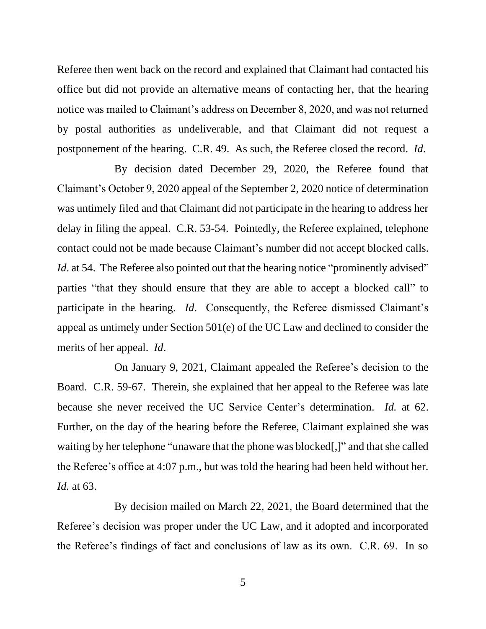Referee then went back on the record and explained that Claimant had contacted his office but did not provide an alternative means of contacting her, that the hearing notice was mailed to Claimant's address on December 8, 2020, and was not returned by postal authorities as undeliverable, and that Claimant did not request a postponement of the hearing. C.R. 49. As such, the Referee closed the record. *Id*.

By decision dated December 29, 2020, the Referee found that Claimant's October 9, 2020 appeal of the September 2, 2020 notice of determination was untimely filed and that Claimant did not participate in the hearing to address her delay in filing the appeal. C.R. 53-54. Pointedly, the Referee explained, telephone contact could not be made because Claimant's number did not accept blocked calls. *Id*. at 54. The Referee also pointed out that the hearing notice "prominently advised" parties "that they should ensure that they are able to accept a blocked call" to participate in the hearing. *Id*. Consequently, the Referee dismissed Claimant's appeal as untimely under Section 501(e) of the UC Law and declined to consider the merits of her appeal. *Id*.

On January 9, 2021, Claimant appealed the Referee's decision to the Board. C.R. 59-67. Therein, she explained that her appeal to the Referee was late because she never received the UC Service Center's determination. *Id.* at 62. Further, on the day of the hearing before the Referee, Claimant explained she was waiting by her telephone "unaware that the phone was blocked[,]" and that she called the Referee's office at 4:07 p.m., but was told the hearing had been held without her. *Id.* at 63.

By decision mailed on March 22, 2021, the Board determined that the Referee's decision was proper under the UC Law, and it adopted and incorporated the Referee's findings of fact and conclusions of law as its own. C.R. 69. In so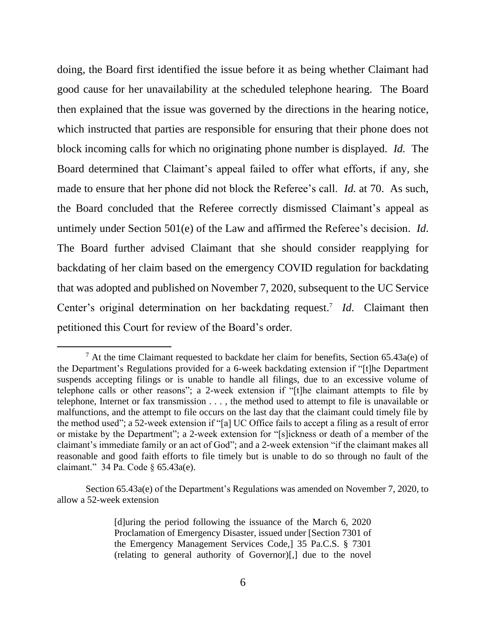doing, the Board first identified the issue before it as being whether Claimant had good cause for her unavailability at the scheduled telephone hearing. The Board then explained that the issue was governed by the directions in the hearing notice, which instructed that parties are responsible for ensuring that their phone does not block incoming calls for which no originating phone number is displayed. *Id.* The Board determined that Claimant's appeal failed to offer what efforts, if any, she made to ensure that her phone did not block the Referee's call. *Id.* at 70. As such, the Board concluded that the Referee correctly dismissed Claimant's appeal as untimely under Section 501(e) of the Law and affirmed the Referee's decision. *Id*. The Board further advised Claimant that she should consider reapplying for backdating of her claim based on the emergency COVID regulation for backdating that was adopted and published on November 7, 2020, subsequent to the UC Service Center's original determination on her backdating request.<sup>7</sup> *Id*. Claimant then petitioned this Court for review of the Board's order.

 $7$  At the time Claimant requested to backdate her claim for benefits, Section 65.43a(e) of the Department's Regulations provided for a 6-week backdating extension if "[t]he Department suspends accepting filings or is unable to handle all filings, due to an excessive volume of telephone calls or other reasons"; a 2-week extension if "[t]he claimant attempts to file by telephone, Internet or fax transmission . . . , the method used to attempt to file is unavailable or malfunctions, and the attempt to file occurs on the last day that the claimant could timely file by the method used"; a 52-week extension if "[a] UC Office fails to accept a filing as a result of error or mistake by the Department"; a 2-week extension for "[s]ickness or death of a member of the claimant's immediate family or an act of God"; and a 2-week extension "if the claimant makes all reasonable and good faith efforts to file timely but is unable to do so through no fault of the claimant." 34 Pa. Code § 65.43a(e).

Section 65.43a(e) of the Department's Regulations was amended on November 7, 2020, to allow a 52-week extension

<sup>[</sup>d]uring the period following the issuance of the March 6, 2020 Proclamation of Emergency Disaster, issued under [Section 7301 of the Emergency Management Services Code,] 35 Pa.C.S. § 7301 (relating to general authority of Governor)[,] due to the novel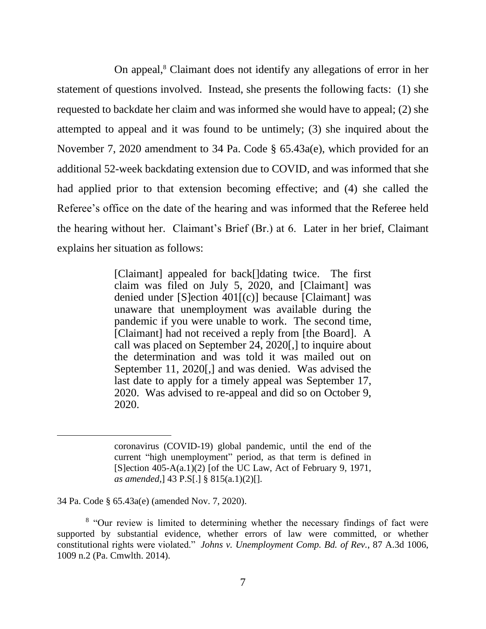On appeal,<sup>8</sup> Claimant does not identify any allegations of error in her statement of questions involved. Instead, she presents the following facts: (1) she requested to backdate her claim and was informed she would have to appeal; (2) she attempted to appeal and it was found to be untimely; (3) she inquired about the November 7, 2020 amendment to 34 Pa. Code § 65.43a(e), which provided for an additional 52-week backdating extension due to COVID, and was informed that she had applied prior to that extension becoming effective; and (4) she called the Referee's office on the date of the hearing and was informed that the Referee held the hearing without her. Claimant's Brief (Br.) at 6. Later in her brief, Claimant explains her situation as follows:

> [Claimant] appealed for back[]dating twice. The first claim was filed on July 5, 2020, and [Claimant] was denied under [S]ection 401[(c)] because [Claimant] was unaware that unemployment was available during the pandemic if you were unable to work. The second time, [Claimant] had not received a reply from [the Board]. A call was placed on September 24, 2020[,] to inquire about the determination and was told it was mailed out on September 11, 2020[,] and was denied. Was advised the last date to apply for a timely appeal was September 17, 2020. Was advised to re-appeal and did so on October 9, 2020.

34 Pa. Code § 65.43a(e) (amended Nov. 7, 2020).

coronavirus (COVID-19) global pandemic, until the end of the current "high unemployment" period, as that term is defined in [S]ection  $405-A(a.1)(2)$  [of the UC Law, Act of February 9, 1971, *as amended*,] 43 P.S[.] § 815(a.1)(2)[].

<sup>&</sup>lt;sup>8</sup> "Our review is limited to determining whether the necessary findings of fact were supported by substantial evidence, whether errors of law were committed, or whether constitutional rights were violated." *Johns v. Unemployment Comp. Bd. of Rev.*, 87 A.3d 1006, 1009 n.2 (Pa. Cmwlth. 2014).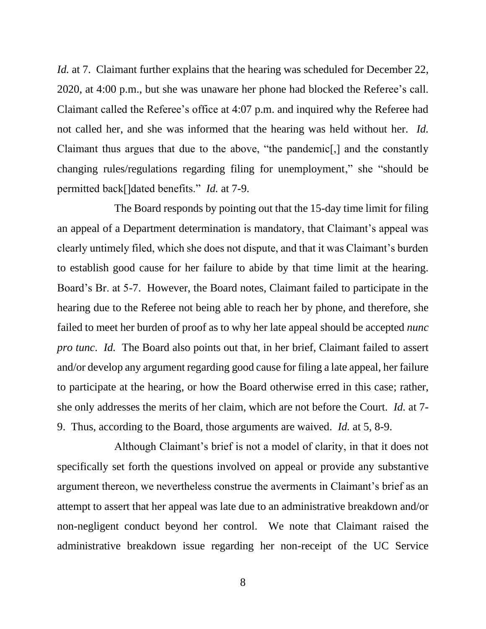*Id.* at 7. Claimant further explains that the hearing was scheduled for December 22, 2020, at 4:00 p.m., but she was unaware her phone had blocked the Referee's call. Claimant called the Referee's office at 4:07 p.m. and inquired why the Referee had not called her, and she was informed that the hearing was held without her. *Id.*  Claimant thus argues that due to the above, "the pandemic[,] and the constantly changing rules/regulations regarding filing for unemployment," she "should be permitted back[]dated benefits." *Id.* at 7-9.

The Board responds by pointing out that the 15-day time limit for filing an appeal of a Department determination is mandatory, that Claimant's appeal was clearly untimely filed, which she does not dispute, and that it was Claimant's burden to establish good cause for her failure to abide by that time limit at the hearing. Board's Br. at 5-7. However, the Board notes, Claimant failed to participate in the hearing due to the Referee not being able to reach her by phone, and therefore, she failed to meet her burden of proof as to why her late appeal should be accepted *nunc pro tunc*. *Id.* The Board also points out that, in her brief, Claimant failed to assert and/or develop any argument regarding good cause for filing a late appeal, her failure to participate at the hearing, or how the Board otherwise erred in this case; rather, she only addresses the merits of her claim, which are not before the Court. *Id.* at 7- 9. Thus, according to the Board, those arguments are waived. *Id.* at 5, 8-9.

Although Claimant's brief is not a model of clarity, in that it does not specifically set forth the questions involved on appeal or provide any substantive argument thereon, we nevertheless construe the averments in Claimant's brief as an attempt to assert that her appeal was late due to an administrative breakdown and/or non-negligent conduct beyond her control. We note that Claimant raised the administrative breakdown issue regarding her non-receipt of the UC Service

8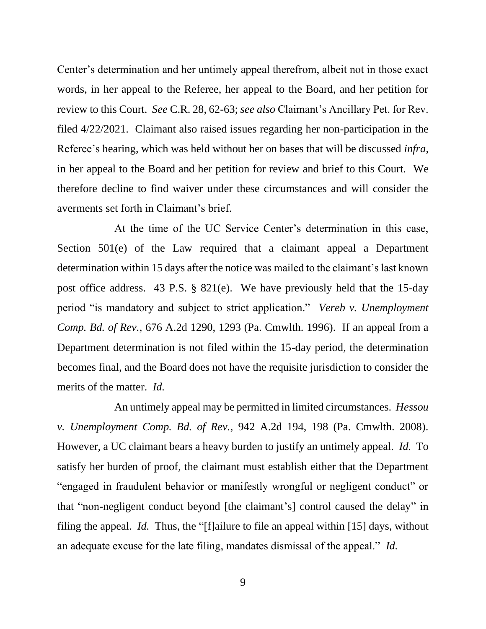Center's determination and her untimely appeal therefrom, albeit not in those exact words, in her appeal to the Referee, her appeal to the Board, and her petition for review to this Court. *See* C.R. 28, 62-63; *see also* Claimant's Ancillary Pet. for Rev. filed 4/22/2021. Claimant also raised issues regarding her non-participation in the Referee's hearing, which was held without her on bases that will be discussed *infra*, in her appeal to the Board and her petition for review and brief to this Court. We therefore decline to find waiver under these circumstances and will consider the averments set forth in Claimant's brief.

At the time of the UC Service Center's determination in this case, Section 501(e) of the Law required that a claimant appeal a Department determination within 15 days after the notice was mailed to the claimant's last known post office address. 43 P.S. § 821(e). We have previously held that the 15-day period "is mandatory and subject to strict application." *Vereb v. Unemployment Comp. Bd. of Rev.*, 676 A.2d 1290, 1293 (Pa. Cmwlth. 1996). If an appeal from a Department determination is not filed within the 15-day period, the determination becomes final, and the Board does not have the requisite jurisdiction to consider the merits of the matter. *Id.*

An untimely appeal may be permitted in limited circumstances. *Hessou v. Unemployment Comp. Bd. of Rev.*, 942 A.2d 194, 198 (Pa. Cmwlth. 2008). However, a UC claimant bears a heavy burden to justify an untimely appeal. *Id.* To satisfy her burden of proof, the claimant must establish either that the Department "engaged in fraudulent behavior or manifestly wrongful or negligent conduct" or that "non-negligent conduct beyond [the claimant's] control caused the delay" in filing the appeal. *Id.* Thus, the "[f]ailure to file an appeal within [15] days, without an adequate excuse for the late filing, mandates dismissal of the appeal." *Id.*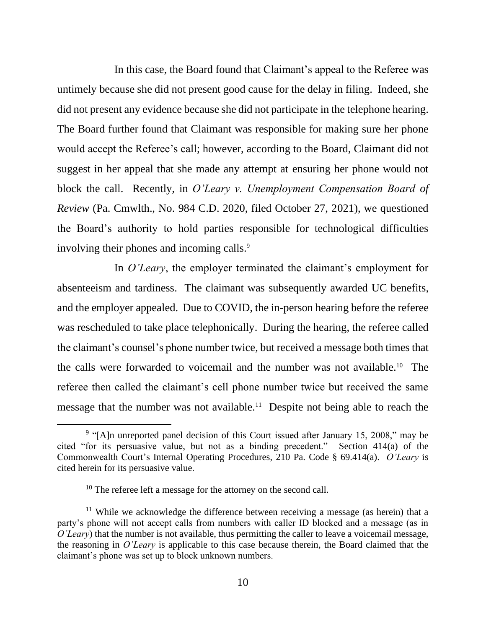In this case, the Board found that Claimant's appeal to the Referee was untimely because she did not present good cause for the delay in filing. Indeed, she did not present any evidence because she did not participate in the telephone hearing. The Board further found that Claimant was responsible for making sure her phone would accept the Referee's call; however, according to the Board, Claimant did not suggest in her appeal that she made any attempt at ensuring her phone would not block the call. Recently, in *O'Leary v. Unemployment Compensation Board of Review* (Pa. Cmwlth., No. 984 C.D. 2020, filed October 27, 2021), we questioned the Board's authority to hold parties responsible for technological difficulties involving their phones and incoming calls.<sup>9</sup>

In *O'Leary*, the employer terminated the claimant's employment for absenteeism and tardiness. The claimant was subsequently awarded UC benefits, and the employer appealed. Due to COVID, the in-person hearing before the referee was rescheduled to take place telephonically. During the hearing, the referee called the claimant's counsel's phone number twice, but received a message both times that the calls were forwarded to voicemail and the number was not available.<sup>10</sup> The referee then called the claimant's cell phone number twice but received the same message that the number was not available.<sup>11</sup> Despite not being able to reach the

<sup>&</sup>lt;sup>9</sup> "[A]n unreported panel decision of this Court issued after January 15, 2008," may be cited "for its persuasive value, but not as a binding precedent." Section 414(a) of the Commonwealth Court's Internal Operating Procedures, 210 Pa. Code § 69.414(a). *O'Leary* is cited herein for its persuasive value.

 $10$  The referee left a message for the attorney on the second call.

 $11$  While we acknowledge the difference between receiving a message (as herein) that a party's phone will not accept calls from numbers with caller ID blocked and a message (as in *O'Leary*) that the number is not available, thus permitting the caller to leave a voicemail message, the reasoning in *O'Leary* is applicable to this case because therein, the Board claimed that the claimant's phone was set up to block unknown numbers.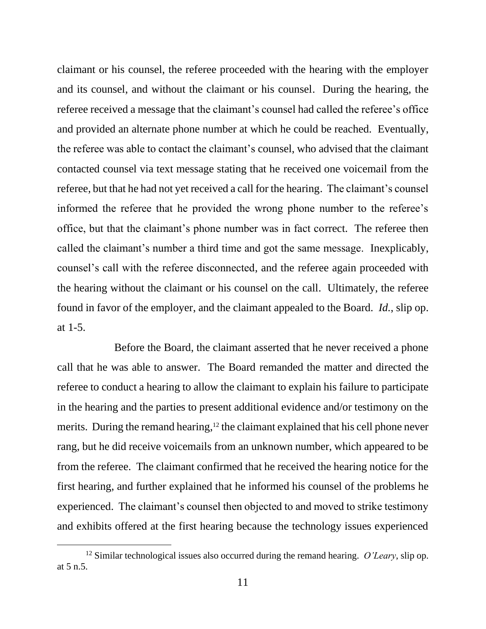claimant or his counsel, the referee proceeded with the hearing with the employer and its counsel, and without the claimant or his counsel. During the hearing, the referee received a message that the claimant's counsel had called the referee's office and provided an alternate phone number at which he could be reached. Eventually, the referee was able to contact the claimant's counsel, who advised that the claimant contacted counsel via text message stating that he received one voicemail from the referee, but that he had not yet received a call for the hearing. The claimant's counsel informed the referee that he provided the wrong phone number to the referee's office, but that the claimant's phone number was in fact correct. The referee then called the claimant's number a third time and got the same message. Inexplicably, counsel's call with the referee disconnected, and the referee again proceeded with the hearing without the claimant or his counsel on the call. Ultimately, the referee found in favor of the employer, and the claimant appealed to the Board. *Id.*, slip op. at 1-5.

Before the Board, the claimant asserted that he never received a phone call that he was able to answer. The Board remanded the matter and directed the referee to conduct a hearing to allow the claimant to explain his failure to participate in the hearing and the parties to present additional evidence and/or testimony on the merits. During the remand hearing,<sup>12</sup> the claimant explained that his cell phone never rang, but he did receive voicemails from an unknown number, which appeared to be from the referee. The claimant confirmed that he received the hearing notice for the first hearing, and further explained that he informed his counsel of the problems he experienced. The claimant's counsel then objected to and moved to strike testimony and exhibits offered at the first hearing because the technology issues experienced

<sup>12</sup> Similar technological issues also occurred during the remand hearing. *O'Leary*, slip op. at 5 n.5.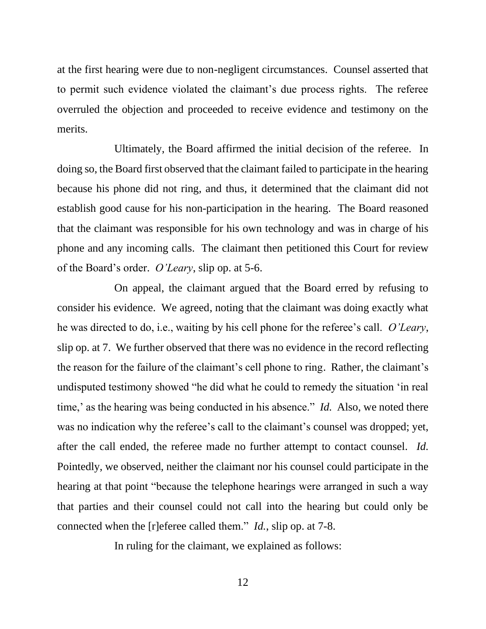at the first hearing were due to non-negligent circumstances. Counsel asserted that to permit such evidence violated the claimant's due process rights. The referee overruled the objection and proceeded to receive evidence and testimony on the merits.

Ultimately, the Board affirmed the initial decision of the referee. In doing so, the Board first observed that the claimant failed to participate in the hearing because his phone did not ring, and thus, it determined that the claimant did not establish good cause for his non-participation in the hearing. The Board reasoned that the claimant was responsible for his own technology and was in charge of his phone and any incoming calls. The claimant then petitioned this Court for review of the Board's order. *O'Leary*, slip op. at 5-6.

On appeal, the claimant argued that the Board erred by refusing to consider his evidence. We agreed, noting that the claimant was doing exactly what he was directed to do, i.e., waiting by his cell phone for the referee's call. *O'Leary*, slip op. at 7. We further observed that there was no evidence in the record reflecting the reason for the failure of the claimant's cell phone to ring. Rather, the claimant's undisputed testimony showed "he did what he could to remedy the situation 'in real time,' as the hearing was being conducted in his absence." *Id.* Also, we noted there was no indication why the referee's call to the claimant's counsel was dropped; yet, after the call ended, the referee made no further attempt to contact counsel. *Id.* Pointedly, we observed, neither the claimant nor his counsel could participate in the hearing at that point "because the telephone hearings were arranged in such a way that parties and their counsel could not call into the hearing but could only be connected when the [r]eferee called them." *Id.*, slip op. at 7-8.

In ruling for the claimant, we explained as follows: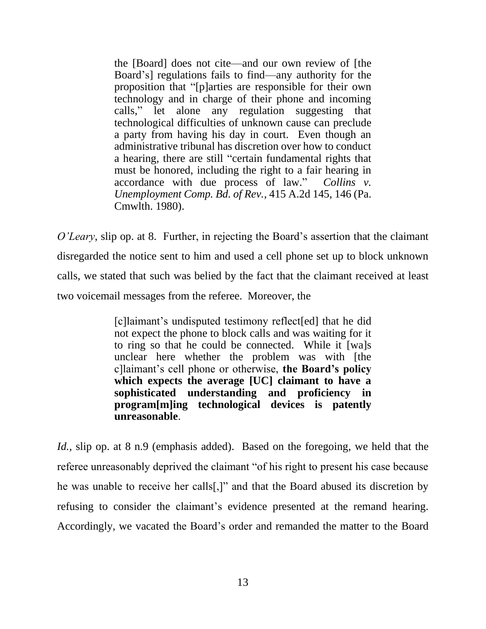the [Board] does not cite—and our own review of [the Board's] regulations fails to find—any authority for the proposition that "[p]arties are responsible for their own technology and in charge of their phone and incoming calls," let alone any regulation suggesting that technological difficulties of unknown cause can preclude a party from having his day in court. Even though an administrative tribunal has discretion over how to conduct a hearing, there are still "certain fundamental rights that must be honored, including the right to a fair hearing in accordance with due process of law." *Collins v. Unemployment Comp. Bd. of Rev.*, 415 A.2d 145, 146 (Pa. Cmwlth. 1980).

*O'Leary*, slip op. at 8. Further, in rejecting the Board's assertion that the claimant disregarded the notice sent to him and used a cell phone set up to block unknown calls, we stated that such was belied by the fact that the claimant received at least two voicemail messages from the referee. Moreover, the

> [c]laimant's undisputed testimony reflect[ed] that he did not expect the phone to block calls and was waiting for it to ring so that he could be connected. While it [wa]s unclear here whether the problem was with [the c]laimant's cell phone or otherwise, **the Board's policy which expects the average [UC] claimant to have a sophisticated understanding and proficiency in program[m]ing technological devices is patently unreasonable**.

*Id.*, slip op. at 8 n.9 (emphasis added). Based on the foregoing, we held that the referee unreasonably deprived the claimant "of his right to present his case because he was unable to receive her calls[,]" and that the Board abused its discretion by refusing to consider the claimant's evidence presented at the remand hearing. Accordingly, we vacated the Board's order and remanded the matter to the Board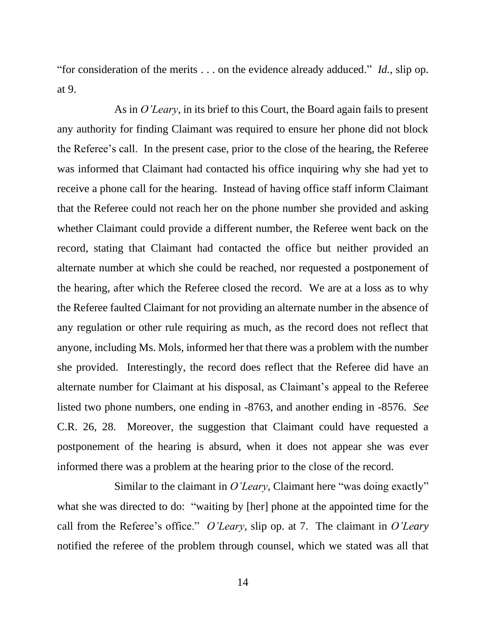"for consideration of the merits . . . on the evidence already adduced." *Id.*, slip op. at 9.

As in *O'Leary*, in its brief to this Court, the Board again fails to present any authority for finding Claimant was required to ensure her phone did not block the Referee's call. In the present case, prior to the close of the hearing, the Referee was informed that Claimant had contacted his office inquiring why she had yet to receive a phone call for the hearing. Instead of having office staff inform Claimant that the Referee could not reach her on the phone number she provided and asking whether Claimant could provide a different number, the Referee went back on the record, stating that Claimant had contacted the office but neither provided an alternate number at which she could be reached, nor requested a postponement of the hearing, after which the Referee closed the record. We are at a loss as to why the Referee faulted Claimant for not providing an alternate number in the absence of any regulation or other rule requiring as much, as the record does not reflect that anyone, including Ms. Mols, informed her that there was a problem with the number she provided. Interestingly, the record does reflect that the Referee did have an alternate number for Claimant at his disposal, as Claimant's appeal to the Referee listed two phone numbers, one ending in -8763, and another ending in -8576. *See*  C.R. 26, 28. Moreover, the suggestion that Claimant could have requested a postponement of the hearing is absurd, when it does not appear she was ever informed there was a problem at the hearing prior to the close of the record.

Similar to the claimant in *O'Leary*, Claimant here "was doing exactly" what she was directed to do: "waiting by [her] phone at the appointed time for the call from the Referee's office." *O'Leary*, slip op. at 7. The claimant in *O'Leary* notified the referee of the problem through counsel, which we stated was all that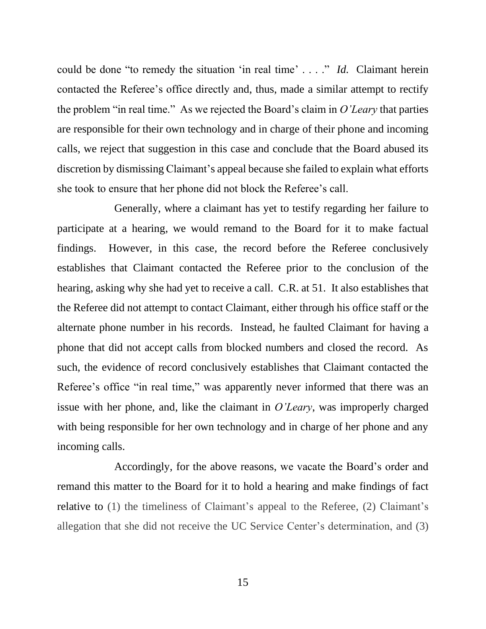could be done "to remedy the situation 'in real time' . . . ." *Id.* Claimant herein contacted the Referee's office directly and, thus, made a similar attempt to rectify the problem "in real time." As we rejected the Board's claim in *O'Leary* that parties are responsible for their own technology and in charge of their phone and incoming calls, we reject that suggestion in this case and conclude that the Board abused its discretion by dismissing Claimant's appeal because she failed to explain what efforts she took to ensure that her phone did not block the Referee's call.

Generally, where a claimant has yet to testify regarding her failure to participate at a hearing, we would remand to the Board for it to make factual findings. However, in this case, the record before the Referee conclusively establishes that Claimant contacted the Referee prior to the conclusion of the hearing, asking why she had yet to receive a call. C.R. at 51. It also establishes that the Referee did not attempt to contact Claimant, either through his office staff or the alternate phone number in his records. Instead, he faulted Claimant for having a phone that did not accept calls from blocked numbers and closed the record. As such, the evidence of record conclusively establishes that Claimant contacted the Referee's office "in real time," was apparently never informed that there was an issue with her phone, and, like the claimant in *O'Leary*, was improperly charged with being responsible for her own technology and in charge of her phone and any incoming calls.

Accordingly, for the above reasons, we vacate the Board's order and remand this matter to the Board for it to hold a hearing and make findings of fact relative to (1) the timeliness of Claimant's appeal to the Referee, (2) Claimant's allegation that she did not receive the UC Service Center's determination, and (3)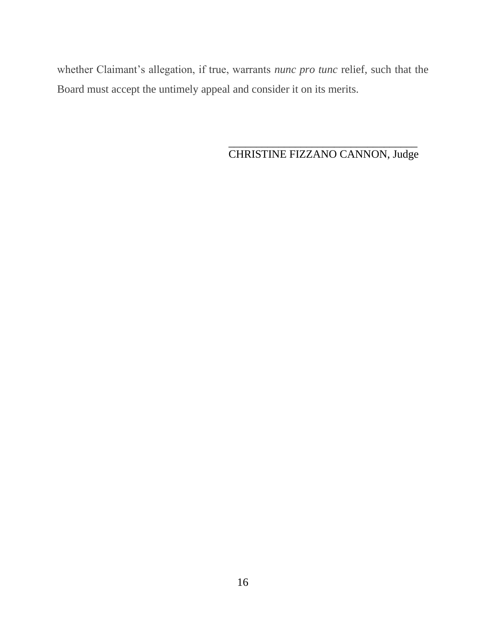whether Claimant's allegation, if true, warrants *nunc pro tunc* relief, such that the Board must accept the untimely appeal and consider it on its merits.

### \_\_\_\_\_\_\_\_\_\_\_\_\_\_\_\_\_\_\_\_\_\_\_\_\_\_\_\_\_\_\_\_\_\_ CHRISTINE FIZZANO CANNON, Judge